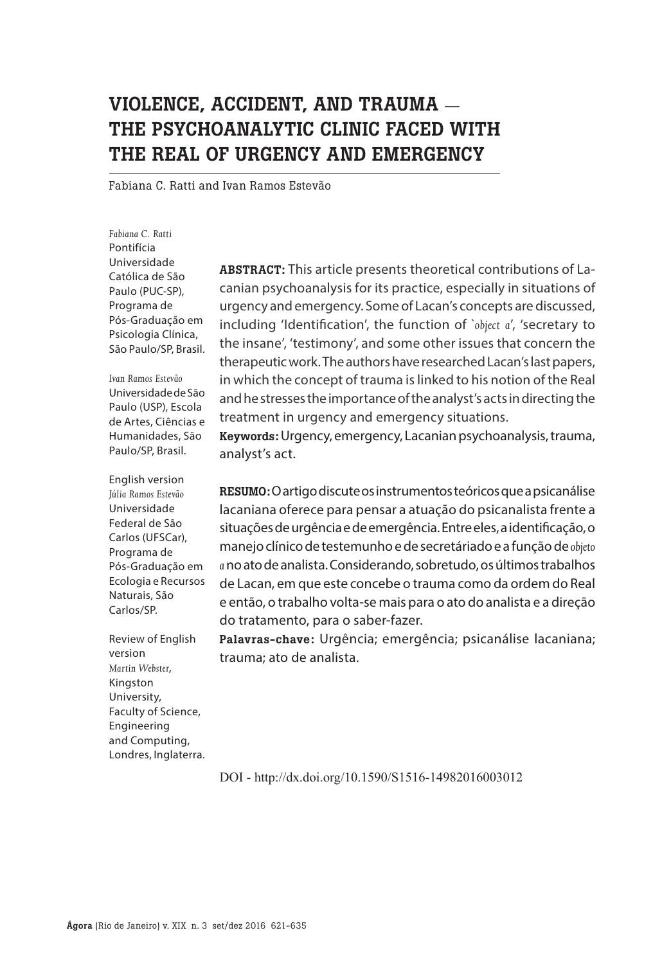# VIOLENCE, ACCIDENT, AND TRAUMA — THE PSYCHOANALYTIC CLINIC FACED WITH THE REAL OF URGENCY AND EMERGENCY

Fabiana C. Ratti and Ivan Ramos Estevão

*Fabiana C. Ratti* Pontifícia Universidade Católica de São Paulo (PUC-SP), Programa de Pós-Graduação em Psicologia Clínica, São Paulo/SP, Brasil.

*Ivan Ramos Estevão* Universidade de São Paulo (USP), Escola de Artes, Ciências e Humanidades, São Paulo/SP, Brasil.

English version *Júlia Ramos Estevão* Universidade Federal de São Carlos (UFSCar), Programa de Pós-Graduação em Ecologia e Recursos Naturais, São Carlos/SP.

Review of English version *Martin Webster*, Kingston University, Faculty of Science, Engineering and Computing, Londres, Inglaterra. ABSTRACT: This article presents theoretical contributions of Lacanian psychoanalysis for its practice, especially in situations of urgency and emergency. Some of Lacan's concepts are discussed, including 'Identification', the function of `*object a*', 'secretary to the insane', 'testimony', and some other issues that concern the therapeutic work. The authors have researched Lacan's last papers, in which the concept of trauma is linked to his notion of the Real and he stresses the importance of the analyst's acts in directing the treatment in urgency and emergency situations.

Keywords:Urgency, emergency, Lacanian psychoanalysis, trauma, analyst's act.

RESUMO: O artigo discute os instrumentos teóricos que a psicanálise lacaniana oferece para pensar a atuação do psicanalista frente a situações de urgência e de emergência. Entre eles, a identificação, o manejo clínico de testemunho e de secretáriado e a função de *objeto a* no ato de analista. Considerando, sobretudo, os últimos trabalhos de Lacan, em que este concebe o trauma como da ordem do Real e então, o trabalho volta-se mais para o ato do analista e a direção do tratamento, para o saber-fazer.

Palavras-chave: Urgência; emergência; psicanálise lacaniana; trauma; ato de analista.

DOI - http://dx.doi.org/10.1590/S1516-14982016003012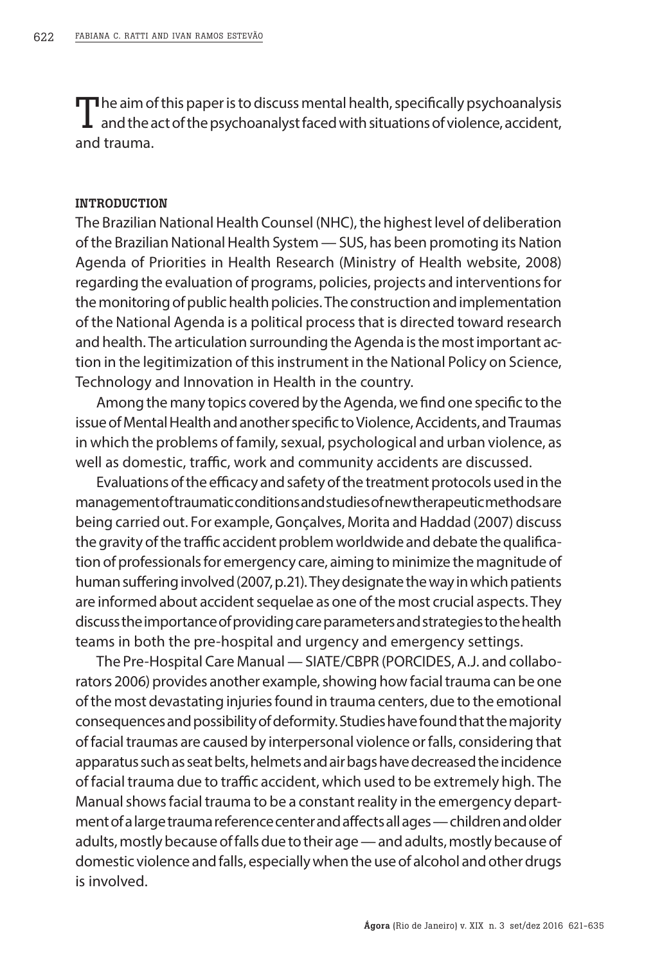$\prod$  he aim of this paper is to discuss mental health, specifically psychoanalysis<br>and the act of the psychoanalyst faced with situations of violence, accident, and trauma.

#### INTRODUCTION

The Brazilian National Health Counsel (NHC), the highest level of deliberation of the Brazilian National Health System — SUS, has been promoting its Nation Agenda of Priorities in Health Research (Ministry of Health website, 2008) regarding the evaluation of programs, policies, projects and interventions for the monitoring of public health policies. The construction and implementation of the National Agenda is a political process that is directed toward research and health. The articulation surrounding the Agenda is the most important action in the legitimization of this instrument in the National Policy on Science, Technology and Innovation in Health in the country.

Among the many topics covered by the Agenda, we find one specific to the issue of Mental Health and another specific to Violence, Accidents, and Traumas in which the problems of family, sexual, psychological and urban violence, as well as domestic, traffic, work and community accidents are discussed.

Evaluations of the efficacy and safety of the treatment protocols used in the management of traumatic conditions and studies of new therapeutic methods are being carried out. For example, Gonçalves, Morita and Haddad (2007) discuss the gravity of the traffic accident problem worldwide and debate the qualification of professionals for emergency care, aiming to minimize the magnitude of human suffering involved (2007, p.21). They designate the way in which patients are informed about accident sequelae as one of the most crucial aspects. They discuss the importance of providing care parameters and strategies to the health teams in both the pre-hospital and urgency and emergency settings.

The Pre-Hospital Care Manual — SIATE/CBPR (PORCIDES, A.J. and collaborators 2006) provides another example, showing how facial trauma can be one of the most devastating injuries found in trauma centers, due to the emotional consequences and possibility of deformity. Studies have found that the majority of facial traumas are caused by interpersonal violence or falls, considering that apparatus such as seat belts, helmets and air bags have decreased the incidence of facial trauma due to traffic accident, which used to be extremely high. The Manual shows facial trauma to be a constant reality in the emergency department of a large trauma reference center and affects all ages — children and older adults, mostly because of falls due to their age — and adults, mostly because of domestic violence and falls, especially when the use of alcohol and other drugs is involved.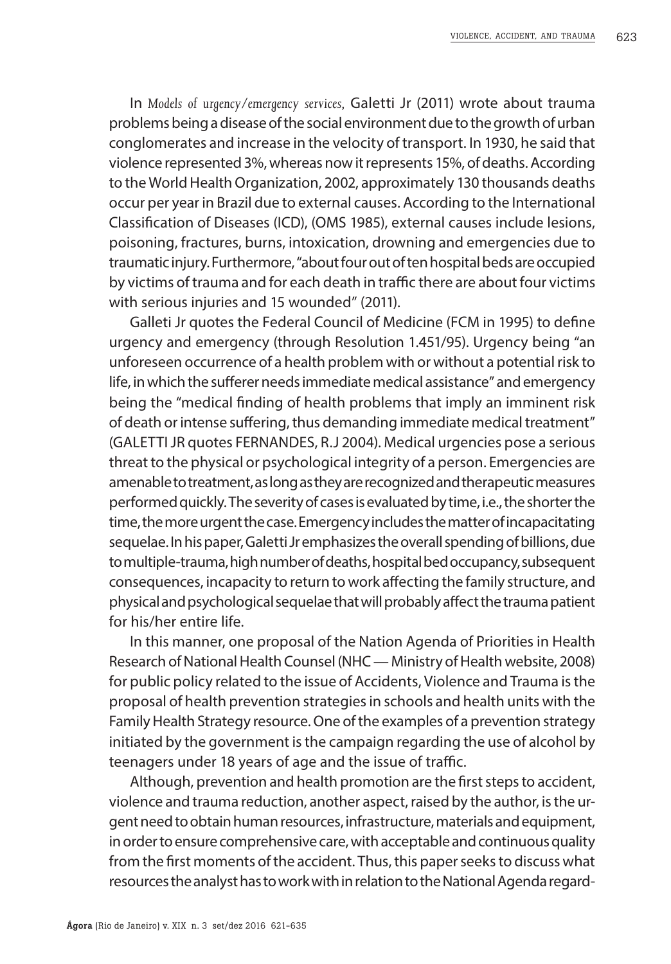In *Models of urgency/emergency services,* Galetti Jr (2011) wrote about trauma problems being a disease of the social environment due to the growth of urban conglomerates and increase in the velocity of transport. In 1930, he said that violence represented 3%, whereas now it represents 15%, of deaths. According to the World Health Organization, 2002, approximately 130 thousands deaths occur per year in Brazil due to external causes. According to the International Classification of Diseases (ICD), (OMS 1985), external causes include lesions, poisoning, fractures, burns, intoxication, drowning and emergencies due to traumatic injury. Furthermore, "about four out of ten hospital beds are occupied by victims of trauma and for each death in traffic there are about four victims with serious injuries and 15 wounded" (2011).

Galleti Jr quotes the Federal Council of Medicine (FCM in 1995) to define urgency and emergency (through Resolution 1.451/95). Urgency being "an unforeseen occurrence of a health problem with or without a potential risk to life, in which the sufferer needs immediate medical assistance" and emergency being the "medical finding of health problems that imply an imminent risk of death or intense suffering, thus demanding immediate medical treatment" (GALETTI JR quotes FERNANDES, R.J 2004). Medical urgencies pose a serious threat to the physical or psychological integrity of a person. Emergencies are amenable to treatment, as long as they are recognized and therapeutic measures performed quickly. The severity of cases is evaluated by time, i.e., the shorter the time, the more urgent the case. Emergency includes the matter of incapacitating sequelae. In his paper, Galetti Jr emphasizes the overall spending of billions, due to multiple-trauma, high number of deaths, hospital bed occupancy, subsequent consequences, incapacity to return to work affecting the family structure, and physical and psychological sequelae that will probably affect the trauma patient for his/her entire life.

In this manner, one proposal of the Nation Agenda of Priorities in Health Research of National Health Counsel (NHC — Ministry of Health website, 2008) for public policy related to the issue of Accidents, Violence and Trauma is the proposal of health prevention strategies in schools and health units with the Family Health Strategy resource. One of the examples of a prevention strategy initiated by the government is the campaign regarding the use of alcohol by teenagers under 18 years of age and the issue of traffic.

Although, prevention and health promotion are the first steps to accident, violence and trauma reduction, another aspect, raised by the author, is the urgent need to obtain human resources, infrastructure, materials and equipment, in order to ensure comprehensive care, with acceptable and continuous quality from the first moments of the accident. Thus, this paper seeks to discuss what resources the analyst has to work with in relation to the National Agenda regard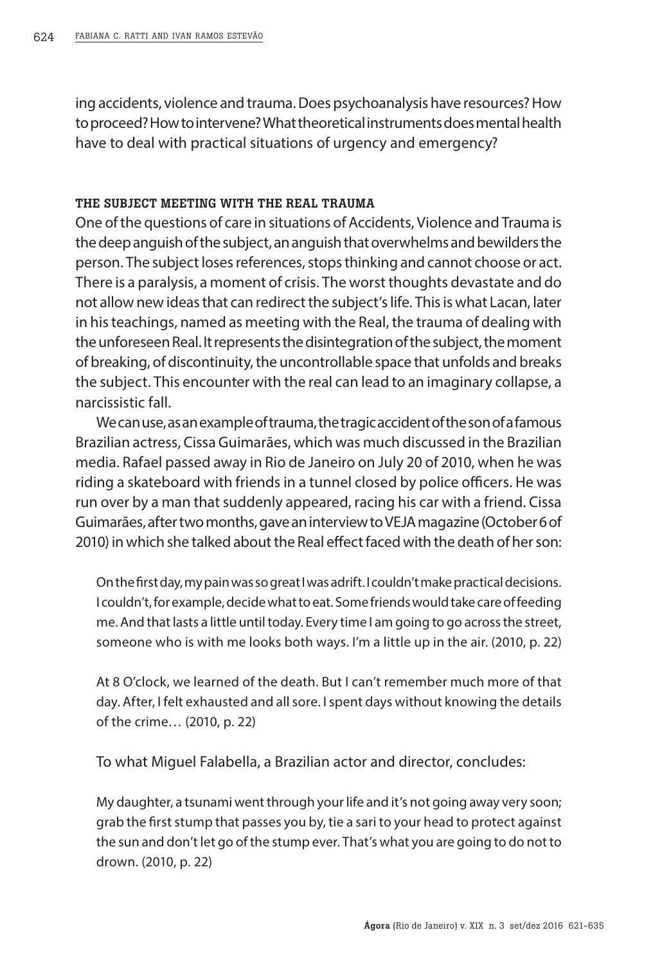ing accidents, violence and trauma. Does psychoanalysis have resources? How to proceed? How to intervene? What theoretical instruments does mental health have to deal with practical situations of urgency and emergency?

### THE SUBJECT MEETING WITH THE REAL TRAUMA

One of the questions of care in situations of Accidents, Violence and Trauma is the deep anguish of the subject, an anguish that overwhelms and bewilders the person. The subject loses references, stops thinking and cannot choose or act. There is a paralysis, a moment of crisis. The worst thoughts devastate and do not allow new ideas that can redirect the subject's life. This is what Lacan, later in his teachings, named as meeting with the Real, the trauma of dealing with the unforeseen Real. It represents the disintegration of the subject, the moment of breaking, of discontinuity, the uncontrollable space that unfolds and breaks the subject. This encounter with the real can lead to an imaginary collapse, a narcissistic fall.

We can use, as an example of trauma, the tragic accident of the son of a famous Brazilian actress, Cissa Guimarães, which was much discussed in the Brazilian media. Rafael passed away in Rio de Janeiro on July 20 of 2010, when he was riding a skateboard with friends in a tunnel closed by police officers. He was run over by a man that suddenly appeared, racing his car with a friend. Cissa Guimarães, after two months, gave an interview to VEJA magazine (October 6 of 2010) in which she talked about the Real effect faced with the death of her son:

On the first day, my pain was so great I was adrift. I couldn't make practical decisions. I couldn't, for example, decide what to eat. Some friends would take care of feeding me. And that lasts a little until today. Every time I am going to go across the street, someone who is with me looks both ways. I'm a little up in the air. (2010, p. 22)

At 8 O'clock, we learned of the death. But I can't remember much more of that day. After, I felt exhausted and all sore. I spent days without knowing the details of the crime… (2010, p. 22)

To what Miguel Falabella, a Brazilian actor and director, concludes:

My daughter, a tsunami went through your life and it's not going away very soon; grab the first stump that passes you by, tie a sari to your head to protect against the sun and don't let go of the stump ever. That's what you are going to do not to drown. (2010, p. 22)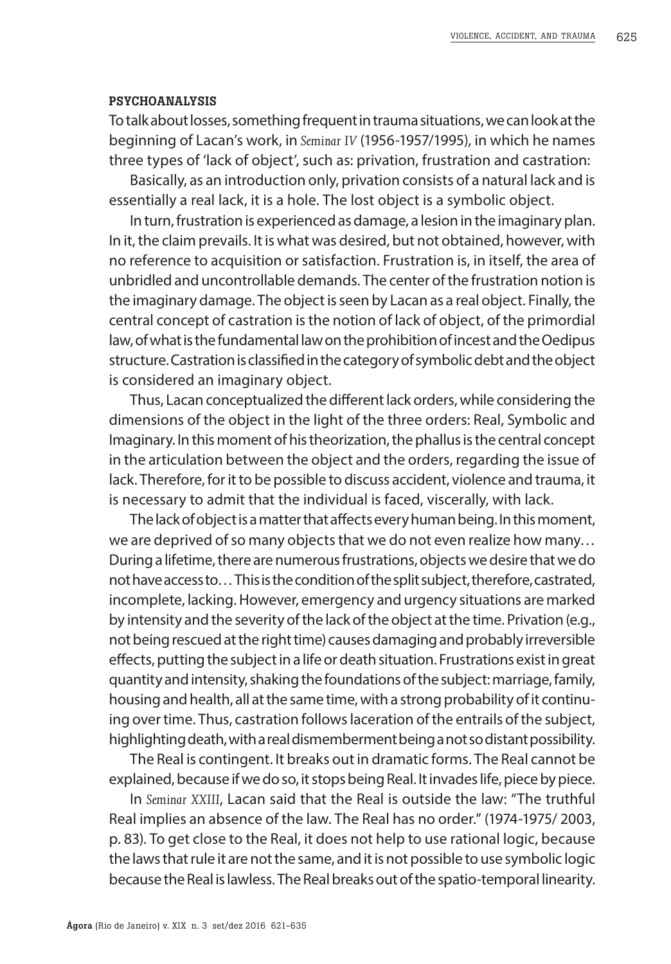#### PSYCHOANALYSIS

To talk about losses, something frequent in trauma situations, we can look at the beginning of Lacan's work, in *Seminar IV* (1956-1957/1995), in which he names three types of 'lack of object', such as: privation, frustration and castration:

Basically, as an introduction only, privation consists of a natural lack and is essentially a real lack, it is a hole. The lost object is a symbolic object.

In turn, frustration is experienced as damage, a lesion in the imaginary plan. In it, the claim prevails. It is what was desired, but not obtained, however, with no reference to acquisition or satisfaction. Frustration is, in itself, the area of unbridled and uncontrollable demands. The center of the frustration notion is the imaginary damage. The object is seen by Lacan as a real object. Finally, the central concept of castration is the notion of lack of object, of the primordial law, of what is the fundamental law on the prohibition of incest and the Oedipus structure. Castration is classified in the category of symbolic debt and the object is considered an imaginary object.

Thus, Lacan conceptualized the different lack orders, while considering the dimensions of the object in the light of the three orders: Real, Symbolic and Imaginary. In this moment of his theorization, the phallus is the central concept in the articulation between the object and the orders, regarding the issue of lack. Therefore, for it to be possible to discuss accident, violence and trauma, it is necessary to admit that the individual is faced, viscerally, with lack.

The lack of object is a matter that affects every human being. In this moment, we are deprived of so many objects that we do not even realize how many… During a lifetime, there are numerous frustrations, objects we desire that we do not have access to… This is the condition of the split subject, therefore, castrated, incomplete, lacking. However, emergency and urgency situations are marked by intensity and the severity of the lack of the object at the time. Privation (e.g., not being rescued at the right time) causes damaging and probably irreversible effects, putting the subject in a life or death situation. Frustrations exist in great quantity and intensity, shaking the foundations of the subject: marriage, family, housing and health, all at the same time, with a strong probability of it continuing over time. Thus, castration follows laceration of the entrails of the subject, highlighting death, with a real dismemberment being a not so distant possibility.

The Real is contingent. It breaks out in dramatic forms. The Real cannot be explained, because if we do so, it stops being Real. It invades life, piece by piece.

In *Seminar XXIII*, Lacan said that the Real is outside the law: "The truthful Real implies an absence of the law. The Real has no order." (1974-1975/ 2003, p. 83). To get close to the Real, it does not help to use rational logic, because the laws that rule it are not the same, and it is not possible to use symbolic logic because the Real is lawless. The Real breaks out of the spatio-temporal linearity.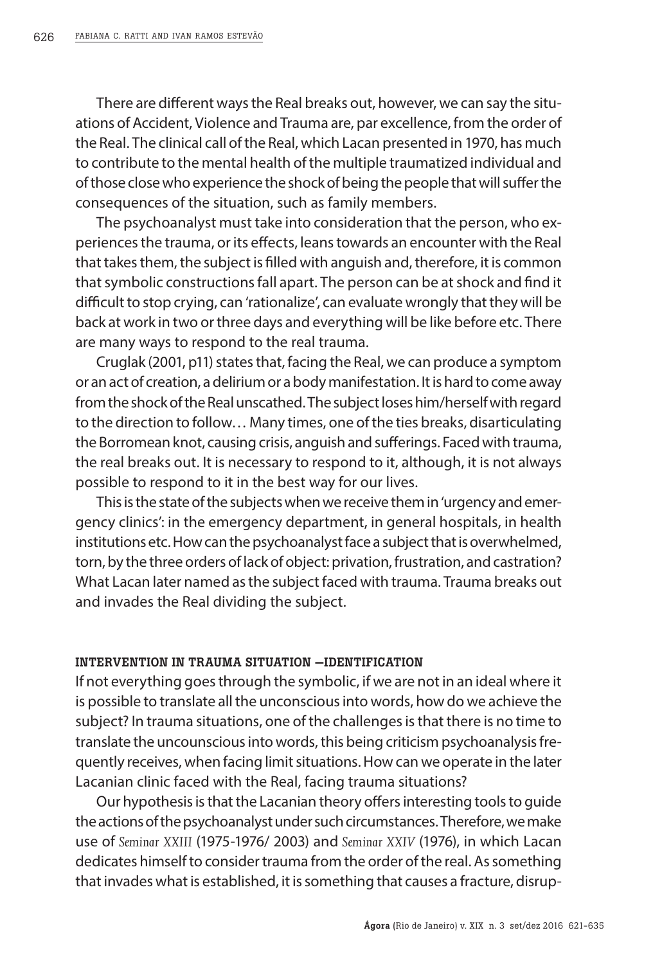There are different ways the Real breaks out, however, we can say the situations of Accident, Violence and Trauma are, par excellence, from the order of the Real. The clinical call of the Real, which Lacan presented in 1970, has much to contribute to the mental health of the multiple traumatized individual and of those close who experience the shock of being the people that will suffer the consequences of the situation, such as family members.

The psychoanalyst must take into consideration that the person, who experiences the trauma, or its effects, leans towards an encounter with the Real that takes them, the subject is filled with anguish and, therefore, it is common that symbolic constructions fall apart. The person can be at shock and find it difficult to stop crying, can 'rationalize', can evaluate wrongly that they will be back at work in two or three days and everything will be like before etc. There are many ways to respond to the real trauma.

Cruglak (2001, p11) states that, facing the Real, we can produce a symptom or an act of creation, a delirium or a body manifestation. It is hard to come away from the shock of the Real unscathed. The subject loses him/herself with regard to the direction to follow… Many times, one of the ties breaks, disarticulating the Borromean knot, causing crisis, anguish and sufferings. Faced with trauma, the real breaks out. It is necessary to respond to it, although, it is not always possible to respond to it in the best way for our lives.

This is the state of the subjects when we receive them in 'urgency and emergency clinics': in the emergency department, in general hospitals, in health institutions etc. How can the psychoanalyst face a subject that is overwhelmed, torn, by the three orders of lack of object: privation, frustration, and castration? What Lacan later named as the subject faced with trauma. Trauma breaks out and invades the Real dividing the subject.

#### INTERVENTION IN TRAUMA SITUATION —IDENTIFICATION

If not everything goes through the symbolic, if we are not in an ideal where it is possible to translate all the unconscious into words, how do we achieve the subject? In trauma situations, one of the challenges is that there is no time to translate the uncounscious into words, this being criticism psychoanalysis frequently receives, when facing limit situations. How can we operate in the later Lacanian clinic faced with the Real, facing trauma situations?

Our hypothesis is that the Lacanian theory offers interesting tools to guide the actions of the psychoanalyst under such circumstances. Therefore, we make use of *Seminar XXIII* (1975-1976/ 2003) and *Seminar XXIV* (1976), in which Lacan dedicates himself to consider trauma from the order of the real. As something that invades what is established, it is something that causes a fracture, disrup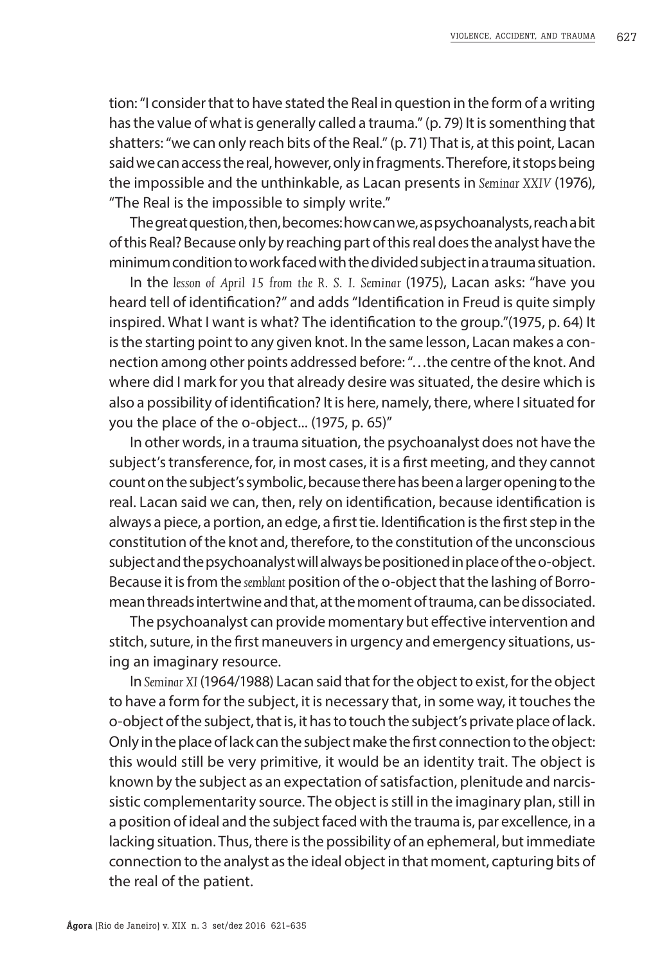tion: "I consider that to have stated the Real in question in the form of a writing has the value of what is generally called a trauma." (p. 79) It is somenthing that shatters: "we can only reach bits of the Real." (p. 71) That is, at this point, Lacan said we can access the real, however, only in fragments. Therefore, it stops being the impossible and the unthinkable, as Lacan presents in *Seminar XXIV* (1976), "The Real is the impossible to simply write."

The great question, then, becomes: how can we, as psychoanalysts, reach a bit of this Real? Because only by reaching part of this real does the analyst have the minimum condition to work faced with the divided subject in a trauma situation.

In the *lesson of April 15 from the R. S. I. Seminar* (1975), Lacan asks: "have you heard tell of identification?" and adds "Identification in Freud is quite simply inspired. What I want is what? The identification to the group."(1975, p. 64) It is the starting point to any given knot. In the same lesson, Lacan makes a connection among other points addressed before: "…the centre of the knot. And where did I mark for you that already desire was situated, the desire which is also a possibility of identification? It is here, namely, there, where I situated for you the place of the o-object... (1975, p. 65)"

In other words, in a trauma situation, the psychoanalyst does not have the subject's transference, for, in most cases, it is a first meeting, and they cannot count on the subject's symbolic, because there has been a larger opening to the real. Lacan said we can, then, rely on identification, because identification is always a piece, a portion, an edge, a first tie. Identification is the first step in the constitution of the knot and, therefore, to the constitution of the unconscious subject and the psychoanalyst will always be positioned in place of the o-object. Because it is from the *semblant* position of the o-object that the lashing of Borromean threads intertwine and that, at the moment of trauma, can be dissociated.

The psychoanalyst can provide momentary but effective intervention and stitch, suture, in the first maneuvers in urgency and emergency situations, using an imaginary resource.

In *Seminar XI* (1964/1988) Lacan said that for the object to exist, for the object to have a form for the subject, it is necessary that, in some way, it touches the o-object of the subject, that is, it has to touch the subject's private place of lack. Only in the place of lack can the subject make the first connection to the object: this would still be very primitive, it would be an identity trait. The object is known by the subject as an expectation of satisfaction, plenitude and narcissistic complementarity source. The object is still in the imaginary plan, still in a position of ideal and the subject faced with the trauma is, par excellence, in a lacking situation. Thus, there is the possibility of an ephemeral, but immediate connection to the analyst as the ideal object in that moment, capturing bits of the real of the patient.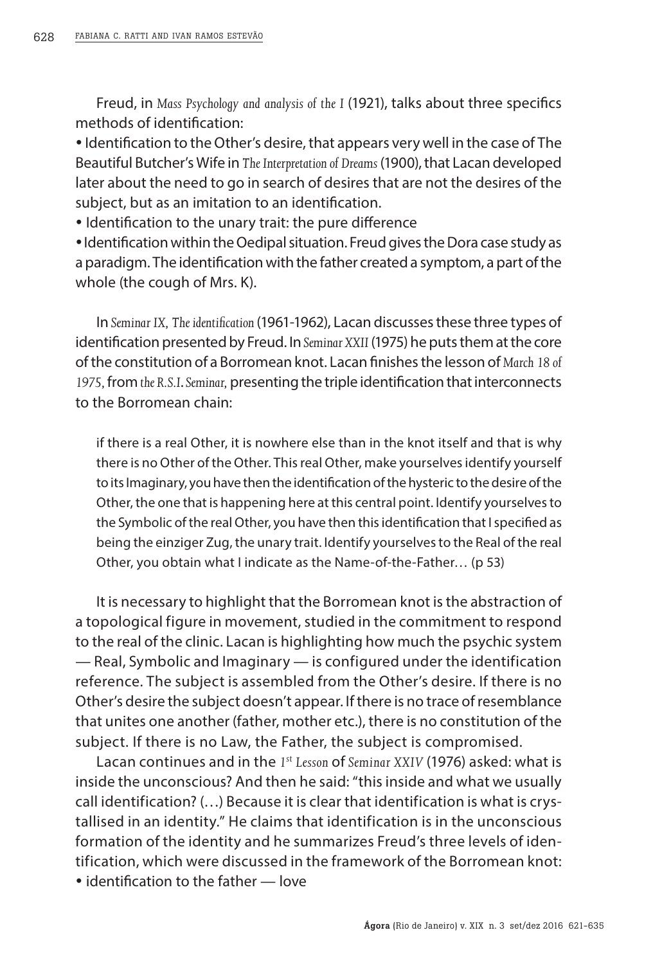Freud, in *Mass Psychology and analysis of the I* (1921), talks about three specifics methods of identification:

• Identification to the Other's desire, that appears very well in the case of The Beautiful Butcher's Wife in *The Interpretation of Dreams* (1900), that Lacan developed later about the need to go in search of desires that are not the desires of the subject, but as an imitation to an identification.

• Identification to the unary trait: the pure difference

• Identification within the Oedipal situation. Freud gives the Dora case study as a paradigm. The identification with the father created a symptom, a part of the whole (the cough of Mrs. K).

In *Seminar IX, The identification* (1961-1962), Lacan discusses these three types of identification presented by Freud. In *Seminar XXII* (1975) he puts them at the core of the constitution of a Borromean knot. Lacan finishes the lesson of *March 18 of 1975,* from *the R.S.I*. *Seminar,* presenting the triple identification that interconnects to the Borromean chain:

if there is a real Other, it is nowhere else than in the knot itself and that is why there is no Other of the Other. This real Other, make yourselves identify yourself to its Imaginary, you have then the identification of the hysteric to the desire of the Other, the one that is happening here at this central point. Identify yourselves to the Symbolic of the real Other, you have then this identification that I specified as being the einziger Zug, the unary trait. Identify yourselves to the Real of the real Other, you obtain what I indicate as the Name-of-the-Father… (p 53)

It is necessary to highlight that the Borromean knot is the abstraction of a topological figure in movement, studied in the commitment to respond to the real of the clinic. Lacan is highlighting how much the psychic system — Real, Symbolic and Imaginary — is configured under the identification reference. The subject is assembled from the Other's desire. If there is no Other's desire the subject doesn't appear. If there is no trace of resemblance that unites one another (father, mother etc.), there is no constitution of the subject. If there is no Law, the Father, the subject is compromised.

Lacan continues and in the *1st Lesson* of *Seminar XXIV* (1976) asked: what is inside the unconscious? And then he said: "this inside and what we usually call identification? (…) Because it is clear that identification is what is crystallised in an identity." He claims that identification is in the unconscious formation of the identity and he summarizes Freud's three levels of identification, which were discussed in the framework of the Borromean knot: identification to the father — love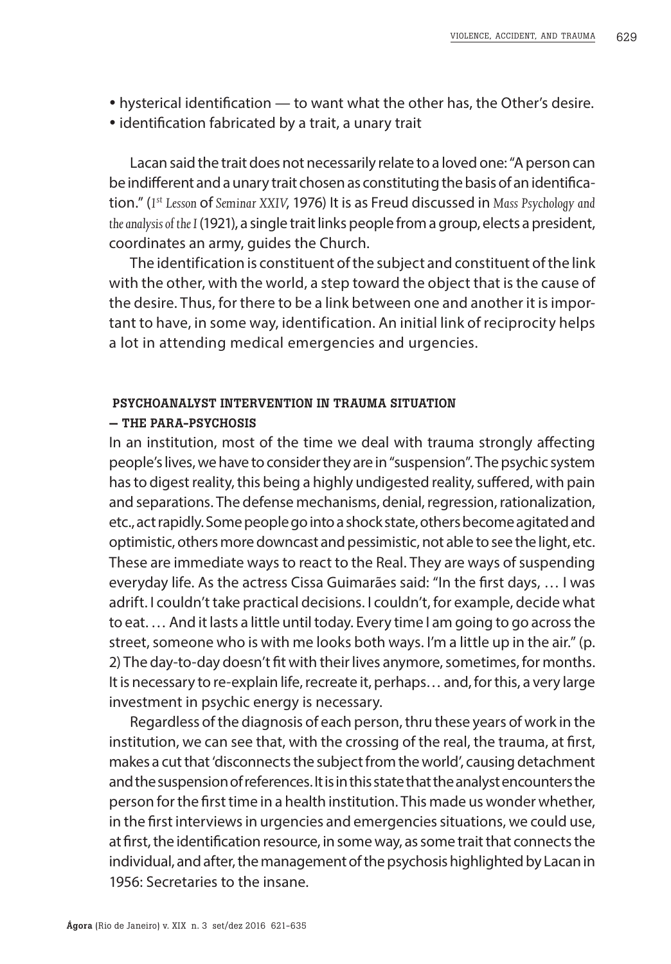- hysterical identification to want what the other has, the Other's desire.
- identification fabricated by a trait, a unary trait

Lacan said the trait does not necessarily relate to a loved one: "A person can be indifferent and a unary trait chosen as constituting the basis of an identification." (*1st Lesson* of *Seminar XXIV*, 1976) It is as Freud discussed in *Mass Psychology and the analysis of the I* (1921), a single trait links people from a group, elects a president, coordinates an army, guides the Church.

The identification is constituent of the subject and constituent of the link with the other, with the world, a step toward the object that is the cause of the desire. Thus, for there to be a link between one and another it is important to have, in some way, identification. An initial link of reciprocity helps a lot in attending medical emergencies and urgencies.

# PSYCHOANALYST INTERVENTION IN TRAUMA SITUATION

#### — THE PARA-PSYCHOSIS

In an institution, most of the time we deal with trauma strongly affecting people's lives, we have to consider they are in "suspension". The psychic system has to digest reality, this being a highly undigested reality, suffered, with pain and separations. The defense mechanisms, denial, regression, rationalization, etc., act rapidly. Some people go into a shock state, others become agitated and optimistic, others more downcast and pessimistic, not able to see the light, etc. These are immediate ways to react to the Real. They are ways of suspending everyday life. As the actress Cissa Guimarães said: "In the first days, … I was adrift. I couldn't take practical decisions. I couldn't, for example, decide what to eat. … And it lasts a little until today. Every time I am going to go across the street, someone who is with me looks both ways. I'm a little up in the air." (p. 2) The day-to-day doesn't fit with their lives anymore, sometimes, for months. It is necessary to re-explain life, recreate it, perhaps… and, for this, a very large investment in psychic energy is necessary.

Regardless of the diagnosis of each person, thru these years of work in the institution, we can see that, with the crossing of the real, the trauma, at first, makes a cut that 'disconnects the subject from the world', causing detachment and the suspension of references. It is in this state that the analyst encounters the person for the first time in a health institution. This made us wonder whether, in the first interviews in urgencies and emergencies situations, we could use, at first, the identification resource, in some way, as some trait that connects the individual, and after, the management of the psychosis highlighted by Lacan in 1956: Secretaries to the insane.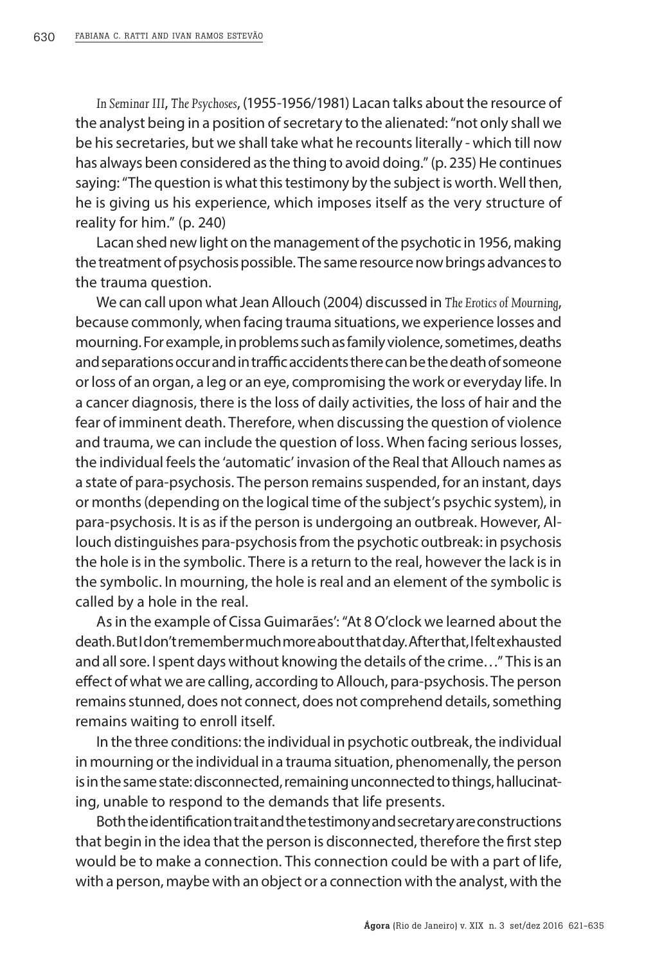*In Seminar III*, *The Psychoses*, (1955-1956/1981) Lacan talks about the resource of the analyst being in a position of secretary to the alienated: "not only shall we be his secretaries, but we shall take what he recounts literally - which till now has always been considered as the thing to avoid doing." (p. 235) He continues saying: "The question is what this testimony by the subject is worth. Well then, he is giving us his experience, which imposes itself as the very structure of reality for him." (p. 240)

Lacan shed new light on the management of the psychotic in 1956, making the treatment of psychosis possible. The same resource now brings advances to the trauma question.

We can call upon what Jean Allouch (2004) discussed in *The Erotics of Mourning*, because commonly, when facing trauma situations, we experience losses and mourning. For example, in problems such as family violence, sometimes, deaths and separations occur and in traffic accidents there can be the death of someone or loss of an organ, a leg or an eye, compromising the work or everyday life. In a cancer diagnosis, there is the loss of daily activities, the loss of hair and the fear of imminent death. Therefore, when discussing the question of violence and trauma, we can include the question of loss. When facing serious losses, the individual feels the 'automatic' invasion of the Real that Allouch names as a state of para-psychosis. The person remains suspended, for an instant, days or months (depending on the logical time of the subject's psychic system), in para-psychosis. It is as if the person is undergoing an outbreak. However, Allouch distinguishes para-psychosis from the psychotic outbreak: in psychosis the hole is in the symbolic. There is a return to the real, however the lack is in the symbolic. In mourning, the hole is real and an element of the symbolic is called by a hole in the real.

As in the example of Cissa Guimarães': "At 8 O'clock we learned about the death. But I don't remember much more about that day. After that, I felt exhausted and all sore. I spent days without knowing the details of the crime…" This is an effect of what we are calling, according to Allouch, para-psychosis. The person remains stunned, does not connect, does not comprehend details, something remains waiting to enroll itself.

In the three conditions: the individual in psychotic outbreak, the individual in mourning or the individual in a trauma situation, phenomenally, the person is in the same state: disconnected, remaining unconnected to things, hallucinating, unable to respond to the demands that life presents.

Both the identification trait and the testimony and secretary are constructions that begin in the idea that the person is disconnected, therefore the first step would be to make a connection. This connection could be with a part of life, with a person, maybe with an object or a connection with the analyst, with the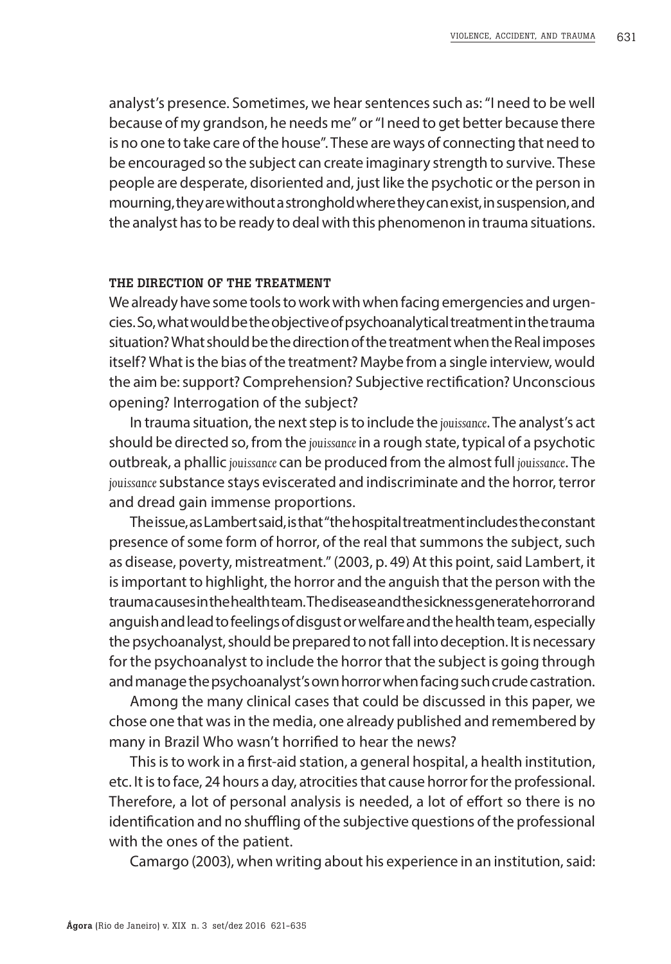analyst's presence. Sometimes, we hear sentences such as: "I need to be well because of my grandson, he needs me" or "I need to get better because there is no one to take care of the house". These are ways of connecting that need to be encouraged so the subject can create imaginary strength to survive. These people are desperate, disoriented and, just like the psychotic or the person in mourning, they are without a stronghold where they can exist, in suspension, and the analyst has to be ready to deal with this phenomenon in trauma situations.

#### THE DIRECTION OF THE TREATMENT

We already have some tools to work with when facing emergencies and urgencies. So, what would be the objective of psychoanalytical treatment in the trauma situation? What should be the direction of the treatment when the Real imposes itself? What is the bias of the treatment? Maybe from a single interview, would the aim be: support? Comprehension? Subjective rectification? Unconscious opening? Interrogation of the subject?

In trauma situation, the next step is to include the *jouissance*. The analyst's act should be directed so, from the *jouissance* in a rough state, typical of a psychotic outbreak, a phallic *jouissance* can be produced from the almost full *jouissance*. The *jouissance* substance stays eviscerated and indiscriminate and the horror, terror and dread gain immense proportions.

The issue, as Lambert said, is that "the hospital treatment includes the constant presence of some form of horror, of the real that summons the subject, such as disease, poverty, mistreatment." (2003, p. 49) At this point, said Lambert, it is important to highlight, the horror and the anguish that the person with the trauma causes in the health team. The disease and the sickness generate horror and anguish and lead to feelings of disgust or welfare and the health team, especially the psychoanalyst, should be prepared to not fall into deception. It is necessary for the psychoanalyst to include the horror that the subject is going through and manage the psychoanalyst's own horror when facing such crude castration.

Among the many clinical cases that could be discussed in this paper, we chose one that was in the media, one already published and remembered by many in Brazil Who wasn't horrified to hear the news?

This is to work in a first-aid station, a general hospital, a health institution, etc. It is to face, 24 hours a day, atrocities that cause horror for the professional. Therefore, a lot of personal analysis is needed, a lot of effort so there is no identification and no shuffling of the subjective questions of the professional with the ones of the patient.

Camargo (2003), when writing about his experience in an institution, said: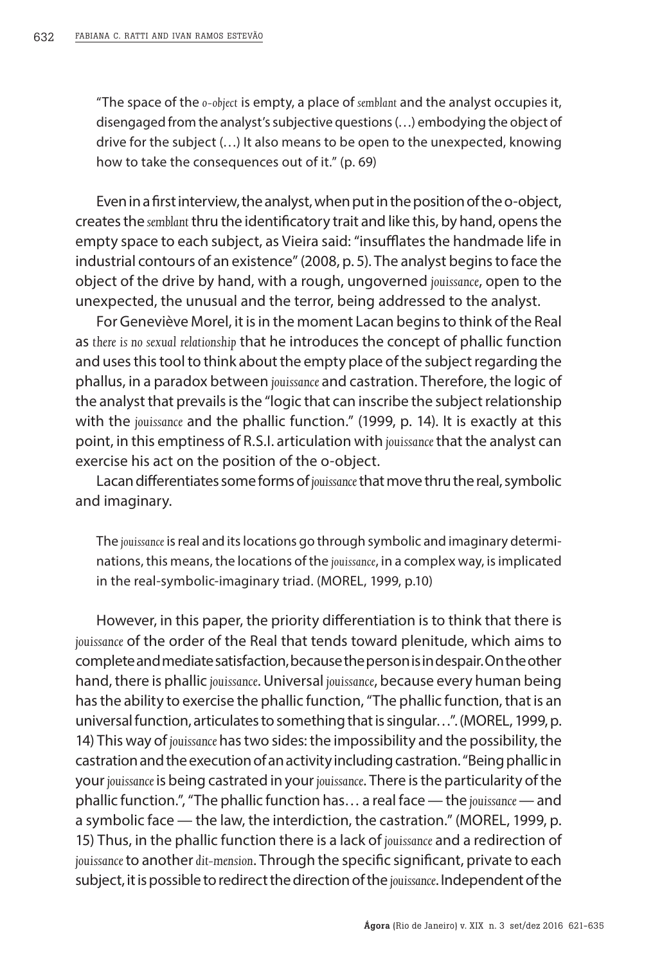"The space of the *o-object* is empty, a place of *semblant* and the analyst occupies it, disengaged from the analyst's subjective questions (…) embodying the object of drive for the subject (…) It also means to be open to the unexpected, knowing how to take the consequences out of it." (p. 69)

Even in a first interview, the analyst, when put in the position of the o-object, creates the *semblant* thru the identificatory trait and like this, by hand, opens the empty space to each subject, as Vieira said: "insufflates the handmade life in industrial contours of an existence" (2008, p. 5). The analyst begins to face the object of the drive by hand, with a rough, ungoverned *jouissance*, open to the unexpected, the unusual and the terror, being addressed to the analyst.

For Geneviève Morel, it is in the moment Lacan begins to think of the Real as *there is no sexual relationship* that he introduces the concept of phallic function and uses this tool to think about the empty place of the subject regarding the phallus, in a paradox between *jouissance* and castration. Therefore, the logic of the analyst that prevails is the "logic that can inscribe the subject relationship with the *jouissance* and the phallic function." (1999, p. 14). It is exactly at this point, in this emptiness of R.S.I. articulation with *jouissance* that the analyst can exercise his act on the position of the o-object.

Lacan differentiates some forms of *jouissance* that move thru the real, symbolic and imaginary.

The *jouissance* is real and its locations go through symbolic and imaginary determinations, this means, the locations of the *jouissance*, in a complex way, is implicated in the real-symbolic-imaginary triad. (MOREL, 1999, p.10)

However, in this paper, the priority differentiation is to think that there is *jouissance* of the order of the Real that tends toward plenitude, which aims to complete and mediate satisfaction, because the person is in despair. On the other hand, there is phallic *jouissance*. Universal *jouissance*, because every human being has the ability to exercise the phallic function, "The phallic function, that is an universal function, articulates to something that is singular…". (MOREL, 1999, p. 14) This way of *jouissance* has two sides: the impossibility and the possibility, the castration and the execution of an activity including castration. "Being phallic in your *jouissance* is being castrated in your *jouissance*. There is the particularity of the phallic function.", "The phallic function has… a real face — the *jouissance* — and a symbolic face — the law, the interdiction, the castration." (MOREL, 1999, p. 15) Thus, in the phallic function there is a lack of *jouissance* and a redirection of *jouissance* to another *dit-mension*. Through the specific significant, private to each subject, it is possible to redirect the direction of the *jouissance*. Independent of the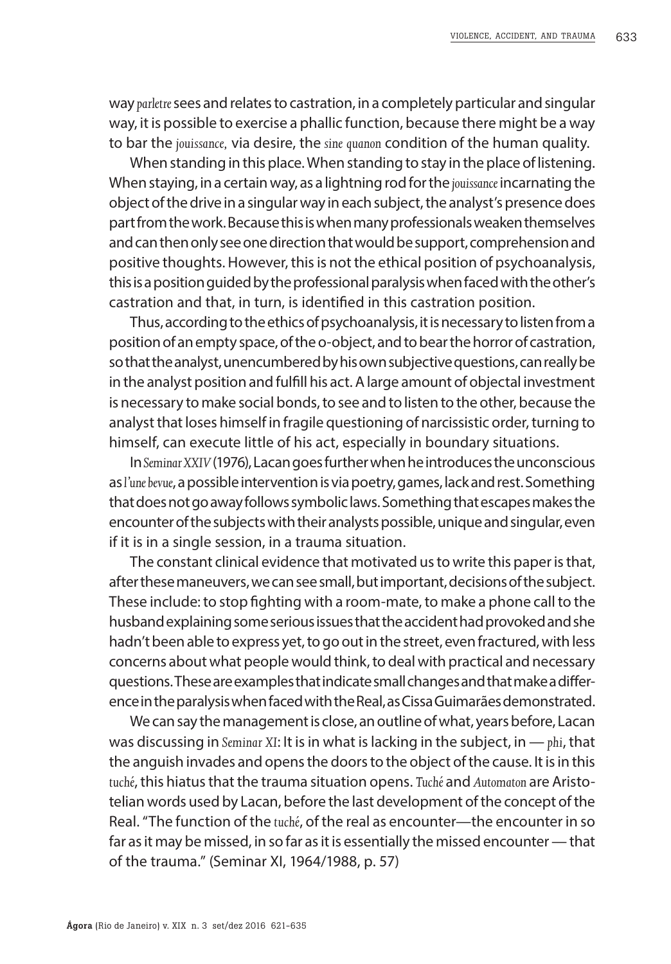way *parletre* sees and relates to castration, in a completely particular and singular way, it is possible to exercise a phallic function, because there might be a way to bar the *jouissance,* via desire, the *sine quanon* condition of the human quality.

When standing in this place. When standing to stay in the place of listening. When staying, in a certain way, as a lightning rod for the *jouissance* incarnating the object of the drive in a singular way in each subject, the analyst's presence does part from the work. Because this is when many professionals weaken themselves and can then only see one direction that would be support, comprehension and positive thoughts. However, this is not the ethical position of psychoanalysis, this is a position guided by the professional paralysis when faced with the other's castration and that, in turn, is identified in this castration position.

Thus, according to the ethics of psychoanalysis, it is necessary to listen from a position of an empty space, of the o-object, and to bear the horror of castration, so that the analyst, unencumbered by his own subjective questions, can really be in the analyst position and fulfill his act. A large amount of objectal investment is necessary to make social bonds, to see and to listen to the other, because the analyst that loses himself in fragile questioning of narcissistic order, turning to himself, can execute little of his act, especially in boundary situations.

In *Seminar XXIV* (1976), Lacan goes further when he introduces the unconscious as *l'une bevue*, a possible intervention is via poetry, games, lack and rest. Something that does not go away follows symbolic laws. Something that escapes makes the encounter of the subjects with their analysts possible, unique and singular, even if it is in a single session, in a trauma situation.

The constant clinical evidence that motivated us to write this paper is that, after these maneuvers, we can see small, but important, decisions of the subject. These include: to stop fighting with a room-mate, to make a phone call to the husband explaining some serious issues that the accident had provoked and she hadn't been able to express yet, to go out in the street, even fractured, with less concerns about what people would think, to deal with practical and necessary questions. These are examples that indicate small changes and that make a difference in the paralysis when faced with the Real, as Cissa Guimarães demonstrated.

We can say the management is close, an outline of what, years before, Lacan was discussing in *Seminar XI*: It is in what is lacking in the subject, in — *phi*, that the anguish invades and opens the doors to the object of the cause. It is in this *tuché*, this hiatus that the trauma situation opens. *Tuché* and *Automaton* are Aristotelian words used by Lacan, before the last development of the concept of the Real. "The function of the *tuché*, of the real as encounter—the encounter in so far as it may be missed, in so far as it is essentially the missed encounter — that of the trauma." (Seminar XI, 1964/1988, p. 57)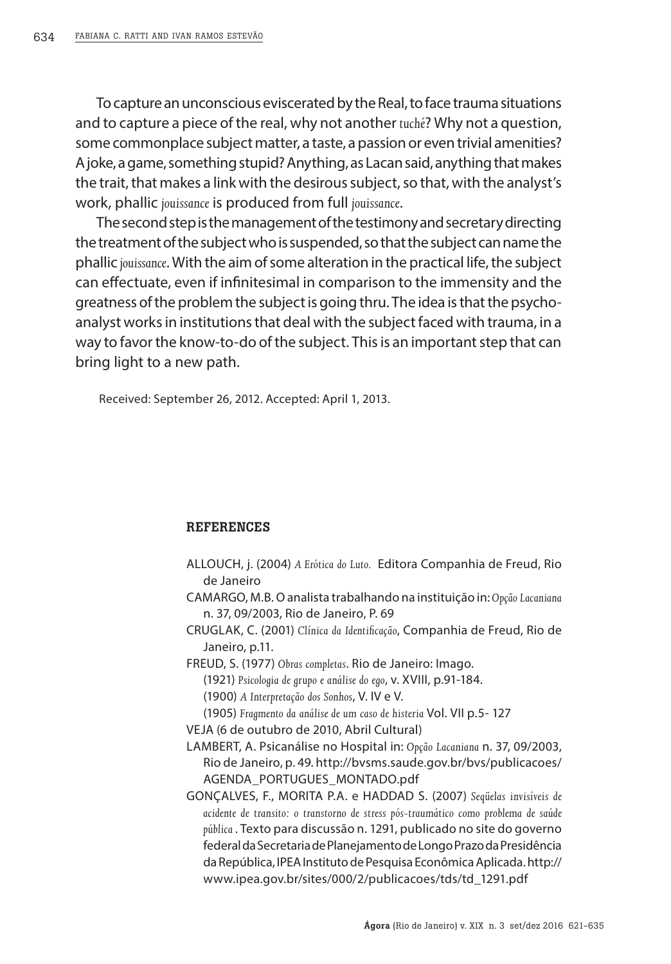To capture an unconscious eviscerated by the Real, to face trauma situations and to capture a piece of the real, why not another *tuché*? Why not a question, some commonplace subject matter, a taste, a passion or even trivial amenities? A joke, a game, something stupid? Anything, as Lacan said, anything that makes the trait, that makes a link with the desirous subject, so that, with the analyst's work, phallic *jouissance* is produced from full *jouissance*.

The second step is the management of the testimony and secretary directing the treatment of the subject who is suspended, so that the subject can name the phallic *jouissance*. With the aim of some alteration in the practical life, the subject can effectuate, even if infinitesimal in comparison to the immensity and the greatness of the problem the subject is going thru. The idea is that the psychoanalyst works in institutions that deal with the subject faced with trauma, in a way to favor the know-to-do of the subject. This is an important step that can bring light to a new path.

Received: September 26, 2012. Accepted: April 1, 2013.

## **REFERENCES**

- ALLOUCH, j. (2004) *A Erótica do Luto.* Editora Companhia de Freud, Rio de Janeiro
- CAMARGO, M.B. O analista trabalhando na instituição in: *Opção Lacaniana* n. 37, 09/2003, Rio de Janeiro, P. 69
- CRUGLAK, C. (2001) *Clínica da Identificação*, Companhia de Freud, Rio de Janeiro, p.11.
- FREUD, S. (1977) *Obras completas*. Rio de Janeiro: Imago.

(1921) *Psicologia de grupo e análise do ego*, v. XVIII, p.91-184.

(1900) *A Interpretação dos Sonhos*, V. IV e V.

- (1905) *Fragmento da análise de um caso de histeria* Vol. VII p.5- 127
- VEJA (6 de outubro de 2010, Abril Cultural)
- LAMBERT, A. Psicanálise no Hospital in: *Opção Lacaniana* n. 37, 09/2003, Rio de Janeiro, p. 49. http://bvsms.saude.gov.br/bvs/publicacoes/ AGENDA\_PORTUGUES\_MONTADO.pdf
- GONÇALVES, F., MORITA P.A. e HADDAD S. (2007) *Seqüelas invisíveis de acidente de transito: o transtorno de stress pós-traumático como problema de saúde pública* . Texto para discussão n. 1291, publicado no site do governo federal da Secretaria de Planejamento de Longo Prazo da Presidência da República, IPEA Instituto de Pesquisa Econômica Aplicada. http:// www.ipea.gov.br/sites/000/2/publicacoes/tds/td\_1291.pdf